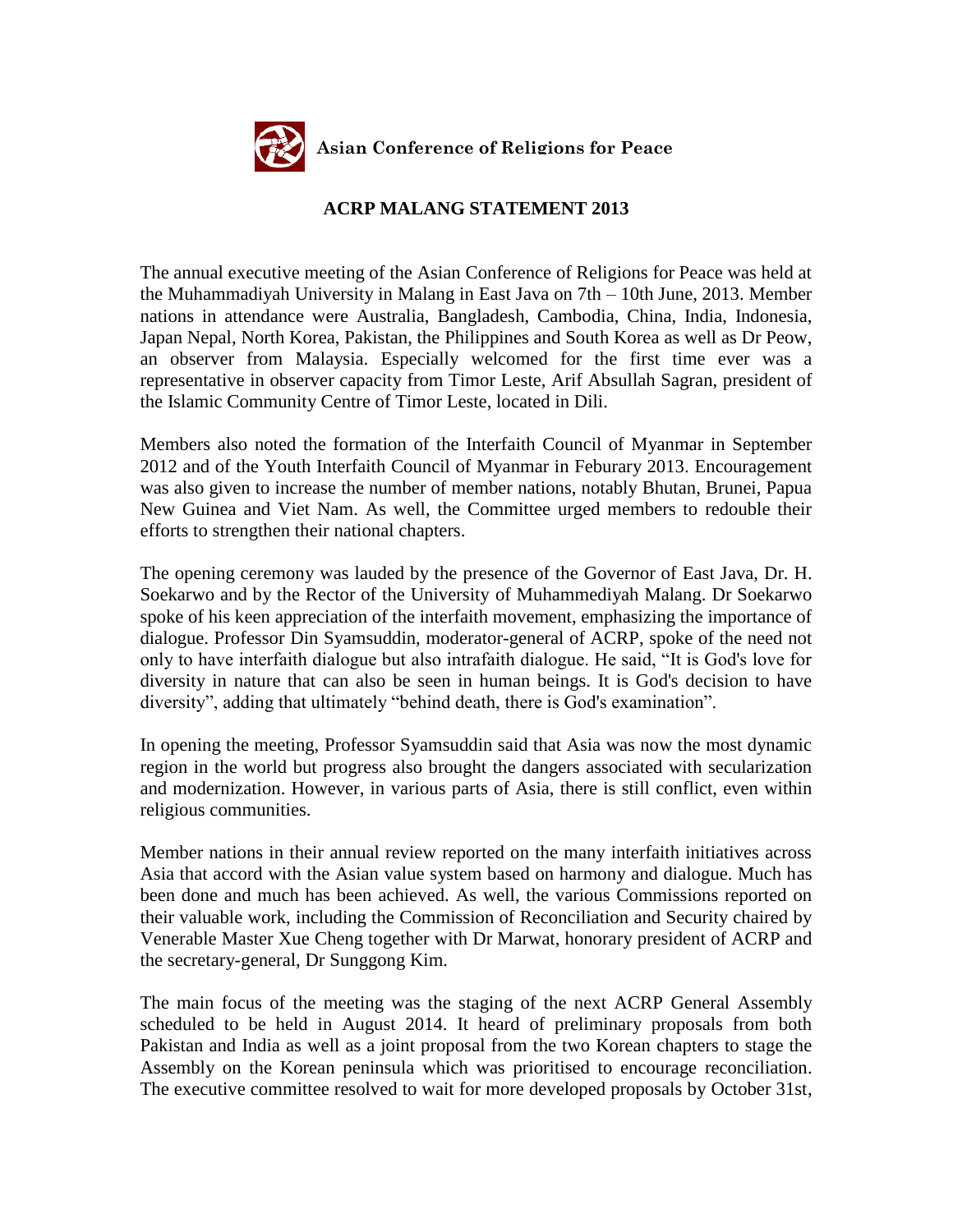

## **ACRP MALANG STATEMENT 2013**

The annual executive meeting of the Asian Conference of Religions for Peace was held at the Muhammadiyah University in Malang in East Java on 7th – 10th June, 2013. Member nations in attendance were Australia, Bangladesh, Cambodia, China, India, Indonesia, Japan Nepal, North Korea, Pakistan, the Philippines and South Korea as well as Dr Peow, an observer from Malaysia. Especially welcomed for the first time ever was a representative in observer capacity from Timor Leste, Arif Absullah Sagran, president of the Islamic Community Centre of Timor Leste, located in Dili.

Members also noted the formation of the Interfaith Council of Myanmar in September 2012 and of the Youth Interfaith Council of Myanmar in Feburary 2013. Encouragement was also given to increase the number of member nations, notably Bhutan, Brunei, Papua New Guinea and Viet Nam. As well, the Committee urged members to redouble their efforts to strengthen their national chapters.

The opening ceremony was lauded by the presence of the Governor of East Java, Dr. H. Soekarwo and by the Rector of the University of Muhammediyah Malang. Dr Soekarwo spoke of his keen appreciation of the interfaith movement, emphasizing the importance of dialogue. Professor Din Syamsuddin, moderator-general of ACRP, spoke of the need not only to have interfaith dialogue but also intrafaith dialogue. He said, "It is God's love for diversity in nature that can also be seen in human beings. It is God's decision to have diversity", adding that ultimately "behind death, there is God's examination".

In opening the meeting, Professor Syamsuddin said that Asia was now the most dynamic region in the world but progress also brought the dangers associated with secularization and modernization. However, in various parts of Asia, there is still conflict, even within religious communities.

Member nations in their annual review reported on the many interfaith initiatives across Asia that accord with the Asian value system based on harmony and dialogue. Much has been done and much has been achieved. As well, the various Commissions reported on their valuable work, including the Commission of Reconciliation and Security chaired by Venerable Master Xue Cheng together with Dr Marwat, honorary president of ACRP and the secretary-general, Dr Sunggong Kim.

The main focus of the meeting was the staging of the next ACRP General Assembly scheduled to be held in August 2014. It heard of preliminary proposals from both Pakistan and India as well as a joint proposal from the two Korean chapters to stage the Assembly on the Korean peninsula which was prioritised to encourage reconciliation. The executive committee resolved to wait for more developed proposals by October 31st,